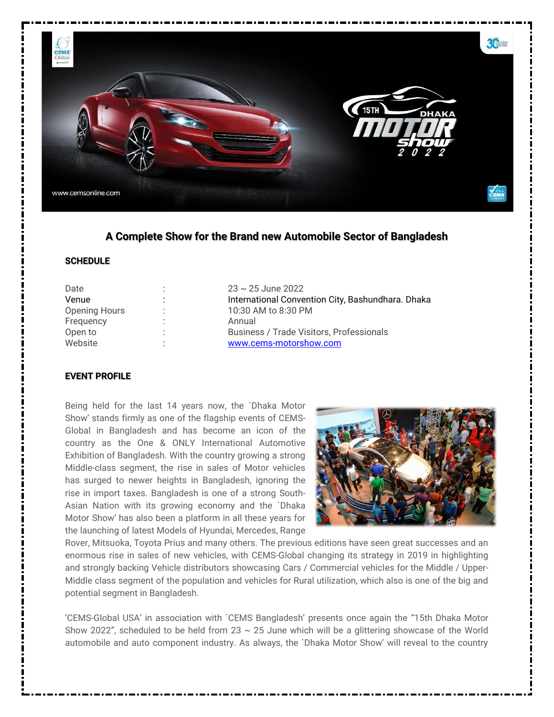

## **A Complete Show for the Brand new Automobile Sector of Bangladesh**

#### **SCHEDULE**

| Date                 |   | $23 \sim 25$ June 2022                            |  |  |
|----------------------|---|---------------------------------------------------|--|--|
| Venue                |   | International Convention City, Bashundhara. Dhaka |  |  |
| <b>Opening Hours</b> |   | 10:30 AM to 8:30 PM                               |  |  |
| Frequency            | ٠ | Annual                                            |  |  |
| Open to              |   | Business / Trade Visitors, Professionals          |  |  |
| Website              |   | www.cems-motorshow.com                            |  |  |
|                      |   |                                                   |  |  |

## **EVENT PROFILE**

Being held for the last 14 years now, the `Dhaka Motor Show' stands firmly as one of the flagship events of CEMS-Global in Bangladesh and has become an icon of the country as the One & ONLY International Automotive Exhibition of Bangladesh. With the country growing a strong Middle-class segment, the rise in sales of Motor vehicles has surged to newer heights in Bangladesh, ignoring the rise in import taxes. Bangladesh is one of a strong South-Asian Nation with its growing economy and the `Dhaka Motor Show' has also been a platform in all these years for the launching of latest Models of Hyundai, Mercedes, Range



Rover, Mitsuoka, Toyota Prius and many others. The previous editions have seen great successes and an enormous rise in sales of new vehicles, with CEMS-Global changing its strategy in 2019 in highlighting and strongly backing Vehicle distributors showcasing Cars / Commercial vehicles for the Middle / Upper-Middle class segment of the population and vehicles for Rural utilization, which also is one of the big and potential segment in Bangladesh.

'CEMS-Global USA' in association with `CEMS Bangladesh' presents once again the "15th Dhaka Motor Show 2022", scheduled to be held from 23  $\sim$  25 June which will be a glittering showcase of the World automobile and auto component industry. As always, the `Dhaka Motor Show' will reveal to the country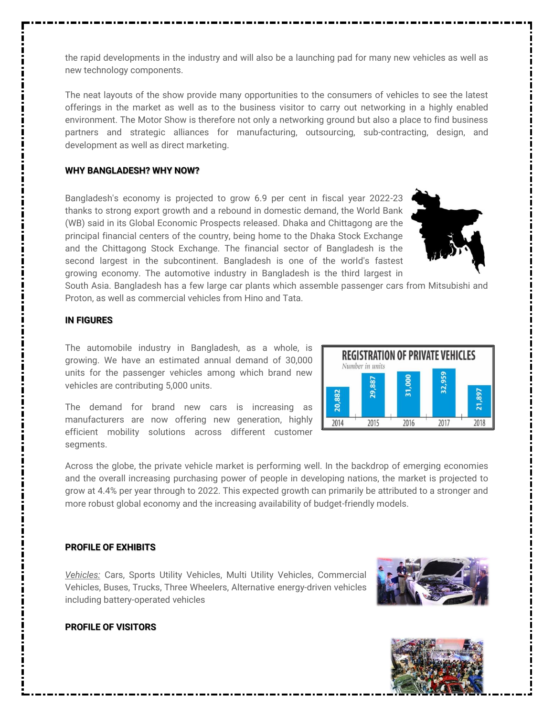the rapid developments in the industry and will also be a launching pad for many new vehicles as well as new technology components.

The neat layouts of the show provide many opportunities to the consumers of vehicles to see the latest offerings in the market as well as to the business visitor to carry out networking in a highly enabled environment. The Motor Show is therefore not only a networking ground but also a place to find business partners and strategic alliances for manufacturing, outsourcing, sub-contracting, design, and development as well as direct marketing.

#### **WHY BANGLADESH? WHY NOW?**

Bangladesh's economy is projected to grow 6.9 per cent in fiscal year 2022-23 thanks to strong export growth and a rebound in domestic demand, the World Bank (WB) said in its Global Economic Prospects released. Dhaka and Chittagong are the principal financial centers of the country, being home to the Dhaka Stock Exchange and the Chittagong Stock Exchange. The financial sector of Bangladesh is the second largest in the subcontinent. Bangladesh is one of the world's fastest growing economy. The automotive industry in Bangladesh is the third largest in



South Asia. Bangladesh has a few large car plants which assemble passenger cars from Mitsubishi and Proton, as well as commercial vehicles from Hino and Tata.

## **IN FIGURES**

The automobile industry in Bangladesh, as a whole, is growing. We have an estimated annual demand of 30,000 units for the passenger vehicles among which brand new vehicles are contributing 5,000 units.

The demand for brand new cars is increasing as manufacturers are now offering new generation, highly efficient mobility solutions across different customer segments.

| <b>REGISTRATION OF PRIVATE VEHICLES</b><br>Number in units |      |                 |      |       |  |  |
|------------------------------------------------------------|------|-----------------|------|-------|--|--|
|                                                            |      | <b>BOC</b><br>М |      | 1,897 |  |  |
| 2014                                                       | 2015 | 2016            | 2017 | 2018  |  |  |

Across the globe, the private vehicle market is performing well. In the backdrop of emerging economies and the overall increasing purchasing power of people in developing nations, the market is projected to grow at 4.4% per year through to 2022. This expected growth can primarily be attributed to a stronger and more robust global economy and the increasing availability of budget-friendly models.

## **PROFILE OF EXHIBITS**

*Vehicles:* Cars, Sports Utility Vehicles, Multi Utility Vehicles, Commercial Vehicles, Buses, Trucks, Three Wheelers, Alternative energy-driven vehicles including battery-operated vehicles





## **PROFILE OF VISITORS**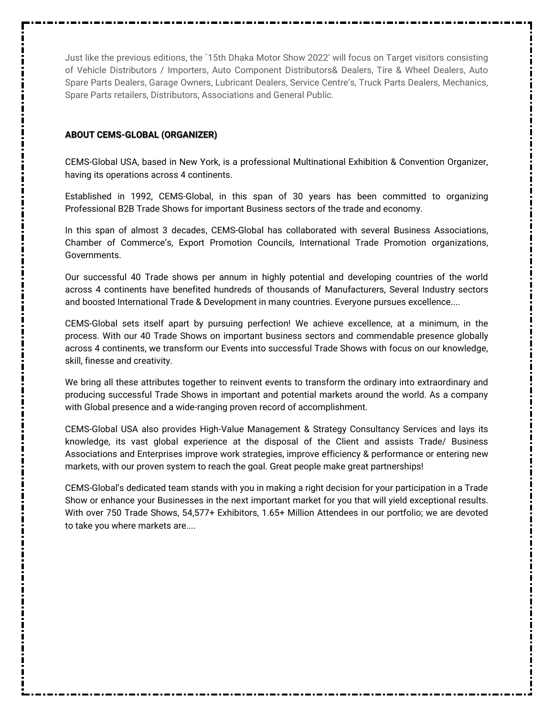Just like the previous editions, the `15th Dhaka Motor Show 2022' will focus on Target visitors consisting of Vehicle Distributors / Importers, Auto Component Distributors& Dealers, Tire & Wheel Dealers, Auto Spare Parts Dealers, Garage Owners, Lubricant Dealers, Service Centre's, Truck Parts Dealers, Mechanics, Spare Parts retailers, Distributors, Associations and General Public.

#### **ABOUT CEMS-GLOBAL (ORGANIZER)**

CEMS-Global USA, based in New York, is a professional Multinational Exhibition & Convention Organizer, having its operations across 4 continents.

Established in 1992, CEMS-Global, in this span of 30 years has been committed to organizing Professional B2B Trade Shows for important Business sectors of the trade and economy.

In this span of almost 3 decades, CEMS-Global has collaborated with several Business Associations, Chamber of Commerce's, Export Promotion Councils, International Trade Promotion organizations, Governments.

Our successful 40 Trade shows per annum in highly potential and developing countries of the world across 4 continents have benefited hundreds of thousands of Manufacturers, Several Industry sectors and boosted International Trade & Development in many countries. Everyone pursues excellence....

CEMS-Global sets itself apart by pursuing perfection! We achieve excellence, at a minimum, in the process. With our 40 Trade Shows on important business sectors and commendable presence globally across 4 continents, we transform our Events into successful Trade Shows with focus on our knowledge, skill, finesse and creativity.

We bring all these attributes together to reinvent events to transform the ordinary into extraordinary and producing successful Trade Shows in important and potential markets around the world. As a company with Global presence and a wide-ranging proven record of accomplishment.

CEMS-Global USA also provides High-Value Management & Strategy Consultancy Services and lays its knowledge, its vast global experience at the disposal of the Client and assists Trade/ Business Associations and Enterprises improve work strategies, improve efficiency & performance or entering new markets, with our proven system to reach the goal. Great people make great partnerships!

CEMS-Global's dedicated team stands with you in making a right decision for your participation in a Trade Show or enhance your Businesses in the next important market for you that will yield exceptional results. With over 750 Trade Shows, 54,577+ Exhibitors, 1.65+ Million Attendees in our portfolio; we are devoted to take you where markets are....